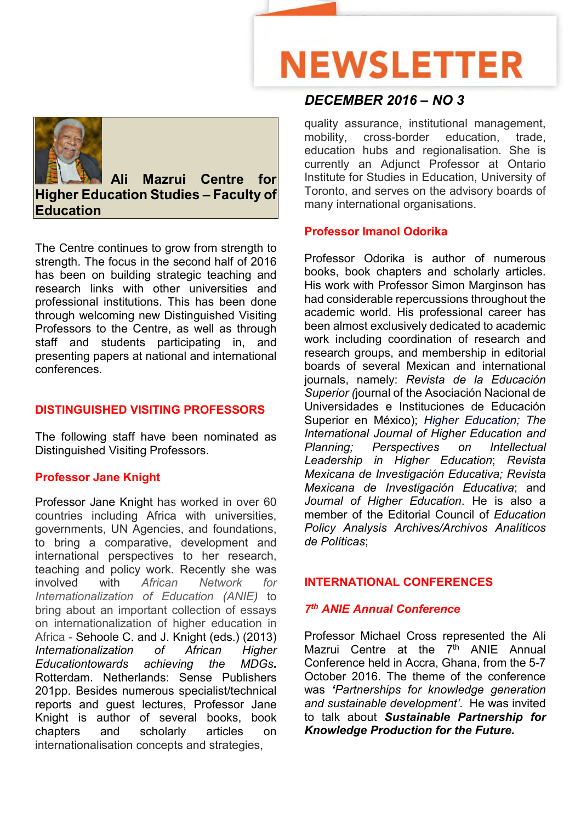

**Ali Mazrui Centre for Higher Education Studies – Faculty of Education**

The Centre continues to grow from strength to strength. The focus in the second half of 2016 has been on building strategic teaching and research links with other universities and professional institutions. This has been done through welcoming new Distinguished Visiting Professors to the Centre, as well as through staff and students participating in, and presenting papers at national and international conferences.

# **DISTINGUISHED VISITING PROFESSORS**

The following staff have been nominated as Distinguished Visiting Professors.

#### **Professor Jane Knight**

Professor Jane Knight has worked in over 60 countries including Africa with universities, governments, UN Agencies, and foundations, to bring a comparative, development and international perspectives to her research, teaching and policy work. Recently she was<br>involved with African Network for  $Network$ *Internationalization of Education (ANIE)* to bring about an important collection of essays on internationalization of higher education in Africa - Sehoole C. and J. Knight (eds.) (2013) *Internationalization of African Higher Educationtowards achieving the MDGs***.**  Rotterdam. Netherlands: Sense Publishers 201pp. Besides numerous specialist/technical reports and guest lectures, Professor Jane Knight is author of several books, book chapters and scholarly articles on internationalisation concepts and strategies,

# **NEWSLETTER**

# *DECEMBER 2016 – NO 3*

quality assurance, institutional management,<br>mobility, cross-border education, trade, cross-border education, trade, education hubs and regionalisation. She is currently an Adjunct Professor at Ontario Institute for Studies in Education, University of Toronto, and serves on the advisory boards of many international organisations.

# **Professor Imanol Odorika**

Professor Odorika is author of numerous books, book chapters and scholarly articles. His work with Professor Simon Marginson has had considerable repercussions throughout the academic world. His professional career has been almost exclusively dedicated to academic work including coordination of research and research groups, and membership in editorial boards of several Mexican and international journals, namely: *Revista de la Educación Superior (*journal of the Asociación Nacional de Universidades e Instituciones de Educación Superior en México); *Higher Education; The International Journal of Higher Education and Planning; Perspectives on Intellectual Leadership in Higher Education*; *Revista Mexicana de Investigación Educativa; Revista Mexicana de Investigación Educativa*; and *Journal of Higher Education*. He is also a member of the Editorial Council of *Education Policy Analysis Archives/Archivos Analíticos de Políticas*;

# **INTERNATIONAL CONFERENCES**

# *7 th ANIE Annual Conference*

Professor Michael Cross represented the Ali Mazrui Centre at the 7<sup>th</sup> ANIE Annual Conference held in Accra, Ghana, from the 5-7 October 2016. The theme of the conference was *'Partnerships for knowledge generation and sustainable development'*. He was invited to talk about *Sustainable Partnership for Knowledge Production for the Future.*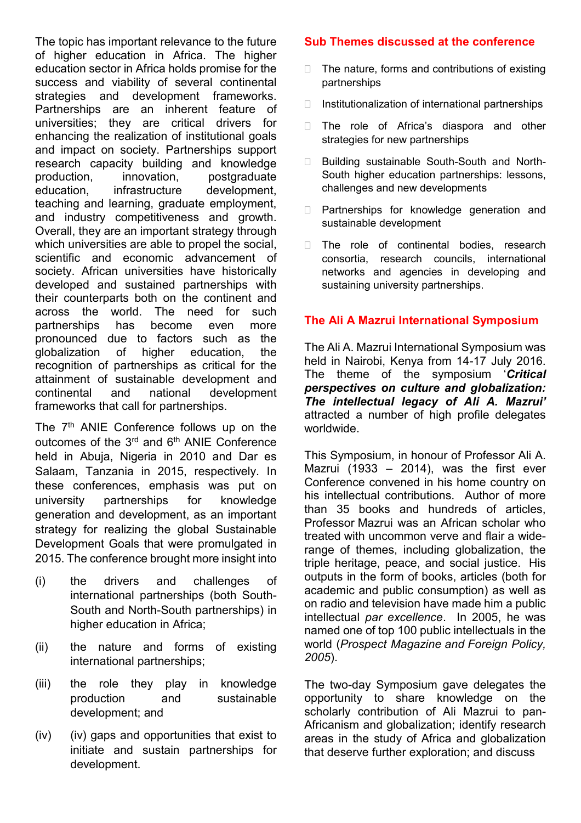The topic has important relevance to the future of higher education in Africa. The higher education sector in Africa holds promise for the success and viability of several continental strategies and development frameworks. Partnerships are an inherent feature of universities; they are critical drivers for enhancing the realization of institutional goals and impact on society. Partnerships support research capacity building and knowledge<br>production. innovation. postgraduate production, innovation, postgraduate<br>education, infrastructure development, development, teaching and learning, graduate employment, and industry competitiveness and growth. Overall, they are an important strategy through which universities are able to propel the social, scientific and economic advancement of society. African universities have historically developed and sustained partnerships with their counterparts both on the continent and across the world. The need for such partnerships has become even more pronounced due to factors such as the globalization of higher education, the recognition of partnerships as critical for the attainment of sustainable development and continental and national development frameworks that call for partnerships.

The 7<sup>th</sup> ANIE Conference follows up on the outcomes of the 3<sup>rd</sup> and 6<sup>th</sup> ANIE Conference held in Abuja, Nigeria in 2010 and Dar es Salaam, Tanzania in 2015, respectively. In these conferences, emphasis was put on university partnerships for knowledge generation and development, as an important strategy for realizing the global Sustainable Development Goals that were promulgated in 2015. The conference brought more insight into

- (i) the drivers and challenges of international partnerships (both South-South and North-South partnerships) in higher education in Africa;
- (ii) the nature and forms of existing international partnerships;
- (iii) the role they play in knowledge production and sustainable development; and
- (iv) (iv) gaps and opportunities that exist to initiate and sustain partnerships for development.

# **Sub Themes discussed at the conference**

- $\Box$  The nature, forms and contributions of existing partnerships
- $\Box$  Institutionalization of international partnerships
- □ The role of Africa's diaspora and other strategies for new partnerships
- □ Building sustainable South-South and North-South higher education partnerships: lessons, challenges and new developments
- D Partnerships for knowledge generation and sustainable development
- $\Box$  The role of continental bodies, research consortia, research councils, international networks and agencies in developing and sustaining university partnerships.

# **The Ali A Mazrui International Symposium**

The Ali A. Mazrui International Symposium was held in Nairobi, Kenya from 14-17 July 2016. The theme of the symposium '*Critical perspectives on culture and globalization: The intellectual legacy of Ali A. Mazrui'* attracted a number of high profile delegates worldwide.

This Symposium, in honour of Professor Ali A. Mazrui (1933 – 2014), was the first ever Conference convened in his home country on his intellectual contributions. Author of more than 35 books and hundreds of articles, Professor Mazrui was an African scholar who treated with uncommon verve and flair a widerange of themes, including globalization, the triple heritage, peace, and social justice. His outputs in the form of books, articles (both for academic and public consumption) as well as on radio and television have made him a public intellectual *par excellence*. In 2005, he was named one of top 100 public intellectuals in the world (*Prospect Magazine and Foreign Policy, 2005*).

The two-day Symposium gave delegates the opportunity to share knowledge on the scholarly contribution of Ali Mazrui to pan-Africanism and globalization; identify research areas in the study of Africa and globalization that deserve further exploration; and discuss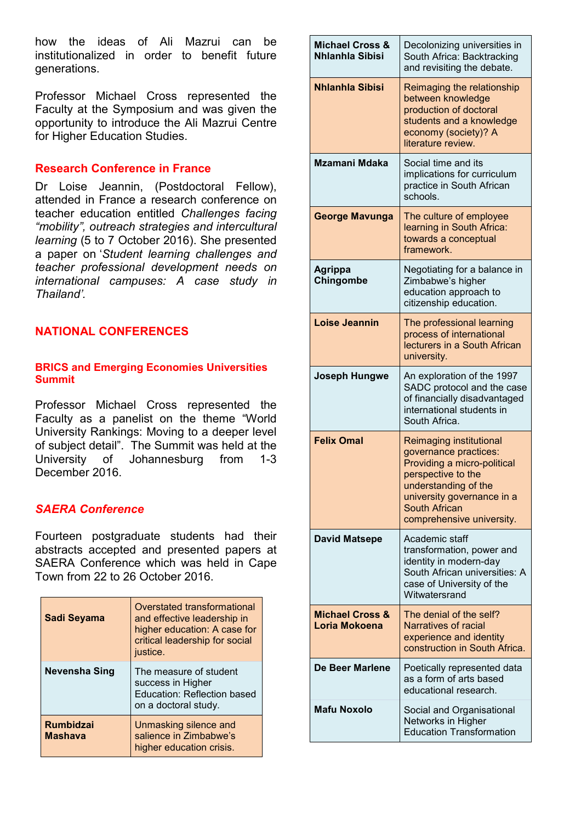how the ideas of Ali Mazrui can be institutionalized in order to benefit future generations.

Professor Michael Cross represented the Faculty at the Symposium and was given the opportunity to introduce the Ali Mazrui Centre for Higher Education Studies.

#### **Research Conference in France**

Dr Loise Jeannin, (Postdoctoral Fellow), attended in France a research conference on teacher education entitled *Challenges facing "mobility", outreach strategies and intercultural learning* (5 to 7 October 2016). She presented a paper on '*Student learning challenges and teacher professional development needs on international campuses: A case study in Thailand'.* 

# **NATIONAL CONFERENCES**

#### **BRICS and Emerging Economies Universities Summit**

Professor Michael Cross represented the Faculty as a panelist on the theme "World University Rankings: Moving to a deeper level of subject detail". The Summit was held at the<br>University of Johannesburg from 1-3 Johannesburg from 1-3 December 2016.

# *SAERA Conference*

Fourteen postgraduate students had their abstracts accepted and presented papers at SAERA Conference which was held in Cape Town from 22 to 26 October 2016.

| Sadi Seyama                        | Overstated transformational<br>and effective leadership in<br>higher education: A case for<br>critical leadership for social<br>justice. |
|------------------------------------|------------------------------------------------------------------------------------------------------------------------------------------|
| <b>Nevensha Sing</b>               | The measure of student<br>success in Higher<br>Education: Reflection based<br>on a doctoral study.                                       |
| <b>Rumbidzai</b><br><b>Mashava</b> | Unmasking silence and<br>salience in Zimbabwe's<br>higher education crisis.                                                              |

| <b>Michael Cross &amp;</b><br><b>Nhlanhla Sibisi</b> | Decolonizing universities in<br>South Africa: Backtracking<br>and revisiting the debate.                                                                                                                                |
|------------------------------------------------------|-------------------------------------------------------------------------------------------------------------------------------------------------------------------------------------------------------------------------|
| <b>Nhlanhla Sibisi</b>                               | Reimaging the relationship<br>between knowledge<br>production of doctoral<br>students and a knowledge<br>economy (society)? A<br>literature review.                                                                     |
| Mzamani Mdaka                                        | Social time and its<br>implications for curriculum<br>practice in South African<br>schools.                                                                                                                             |
| <b>George Mavunga</b>                                | The culture of employee<br>learning in South Africa:<br>towards a conceptual<br>framework.                                                                                                                              |
| <b>Agrippa</b><br>Chingombe                          | Negotiating for a balance in<br>Zimbabwe's higher<br>education approach to<br>citizenship education.                                                                                                                    |
| Loise Jeannin                                        | The professional learning<br>process of international<br>lecturers in a South African<br>university.                                                                                                                    |
| <b>Joseph Hungwe</b>                                 | An exploration of the 1997<br>SADC protocol and the case<br>of financially disadvantaged<br>international students in<br>South Africa.                                                                                  |
| <b>Felix Omal</b>                                    | <b>Reimaging institutional</b><br>governance practices:<br>Providing a micro-political<br>perspective to the<br>understanding of the<br>university governance in a<br><b>South African</b><br>comprehensive university. |
| <b>David Matsepe</b>                                 | Academic staff<br>transformation, power and<br>identity in modern-day<br>South African universities: A<br>case of University of the<br>Witwatersrand                                                                    |
| <b>Michael Cross &amp;</b><br>Loria Mokoena          | The denial of the self?<br><b>Narratives of racial</b><br>experience and identity<br>construction in South Africa.                                                                                                      |
| De Beer Marlene                                      | Poetically represented data<br>as a form of arts based<br>educational research.                                                                                                                                         |
| <b>Mafu Noxolo</b>                                   | Social and Organisational<br>Networks in Higher<br><b>Education Transformation</b>                                                                                                                                      |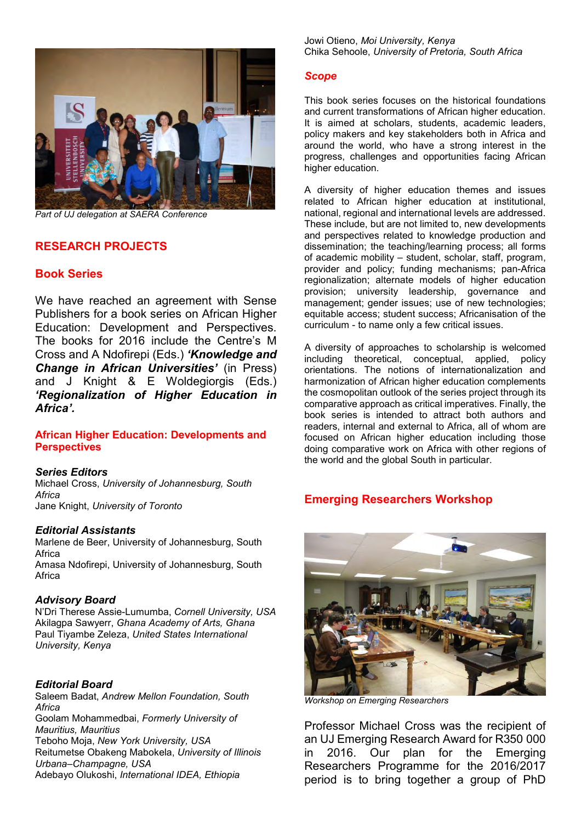

*Part of UJ delegation at SAERA Conference*

# **RESEARCH PROJECTS**

#### **Book Series**

We have reached an agreement with Sense Publishers for a book series on African Higher Education: Development and Perspectives. The books for 2016 include the Centre's M Cross and A Ndofirepi (Eds.) *'Knowledge and Change in African Universities'* (in Press) and J Knight & E Woldegiorgis (Eds.) *'Regionalization of Higher Education in Africa'.*

#### **African Higher Education: Developments and Perspectives**

#### *Series Editors*

Michael Cross, *University of Johannesburg, South Africa* Jane Knight, *University of Toronto* 

#### *Editorial Assistants*

Marlene de Beer, University of Johannesburg, South Africa Amasa Ndofirepi, University of Johannesburg, South Africa

#### *Advisory Board*

N'Dri Therese Assie-Lumumba, *Cornell University, USA*  Akilagpa Sawyerr, *Ghana Academy of Arts, Ghana*  Paul Tiyambe Zeleza, *United States International University, Kenya* 

#### *Editorial Board*

Saleem Badat, *Andrew Mellon Foundation, South Africa*  Goolam Mohammedbai, *Formerly University of Mauritius, Mauritius*  Teboho Moja, *New York University, USA*  Reitumetse Obakeng Mabokela, *University of Illinois Urbana–Champagne, USA*  Adebayo Olukoshi, *International IDEA, Ethiopia* 

Jowi Otieno, *Moi University, Kenya*  Chika Sehoole, *University of Pretoria, South Africa* 

#### *Scope*

This book series focuses on the historical foundations and current transformations of African higher education. It is aimed at scholars, students, academic leaders, policy makers and key stakeholders both in Africa and around the world, who have a strong interest in the progress, challenges and opportunities facing African higher education.

A diversity of higher education themes and issues related to African higher education at institutional, national, regional and international levels are addressed. These include, but are not limited to, new developments and perspectives related to knowledge production and dissemination; the teaching/learning process; all forms of academic mobility – student, scholar, staff, program, provider and policy; funding mechanisms; pan-Africa regionalization; alternate models of higher education provision; university leadership, governance and management; gender issues; use of new technologies; equitable access; student success; Africanisation of the curriculum - to name only a few critical issues.

A diversity of approaches to scholarship is welcomed including theoretical, conceptual, applied, policy orientations. The notions of internationalization and harmonization of African higher education complements the cosmopolitan outlook of the series project through its comparative approach as critical imperatives. Finally, the book series is intended to attract both authors and readers, internal and external to Africa, all of whom are focused on African higher education including those doing comparative work on Africa with other regions of the world and the global South in particular.

# **Emerging Researchers Workshop**



*Workshop on Emerging Researchers* 

Professor Michael Cross was the recipient of an UJ Emerging Research Award for R350 000<br>in 2016. Our plan for the Emerging in 2016. Our plan for the Emerging Researchers Programme for the 2016/2017 period is to bring together a group of PhD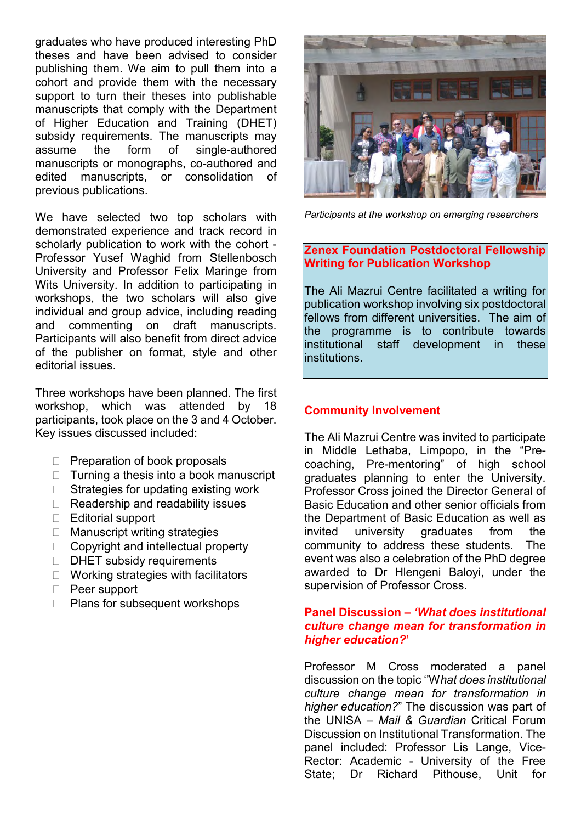graduates who have produced interesting PhD theses and have been advised to consider publishing them. We aim to pull them into a cohort and provide them with the necessary support to turn their theses into publishable manuscripts that comply with the Department of Higher Education and Training (DHET) subsidy requirements. The manuscripts may assume the form of single-authored manuscripts or monographs, co-authored and edited manuscripts, or consolidation of previous publications.

We have selected two top scholars with demonstrated experience and track record in scholarly publication to work with the cohort - Professor Yusef Waghid from Stellenbosch University and Professor Felix Maringe from Wits University. In addition to participating in workshops, the two scholars will also give individual and group advice, including reading and commenting on draft manuscripts. Participants will also benefit from direct advice of the publisher on format, style and other editorial issues.

Three workshops have been planned. The first workshop, which was attended by 18 participants, took place on the 3 and 4 October. Key issues discussed included:

- $\Box$  Preparation of book proposals
- $\Box$  Turning a thesis into a book manuscript
- $\Box$  Strategies for updating existing work
- $\Box$  Readership and readability issues
- $\Box$  Editorial support
- $\Box$  Manuscript writing strategies
- $\Box$  Copyright and intellectual property
- DHET subsidy requirements
- $\Box$  Working strategies with facilitators
- D Peer support
- $\Box$  Plans for subsequent workshops



*Participants at the workshop on emerging researchers* 

# **Zenex Foundation Postdoctoral Fellowship Writing for Publication Workshop**

The Ali Mazrui Centre facilitated a writing for publication workshop involving six postdoctoral fellows from different universities. The aim of the programme is to contribute towards institutional staff development in these institutions.

# **Community Involvement**

The Ali Mazrui Centre was invited to participate in Middle Lethaba, Limpopo, in the "Precoaching, Pre-mentoring" of high school graduates planning to enter the University. Professor Cross joined the Director General of Basic Education and other senior officials from the Department of Basic Education as well as invited university graduates from the community to address these students. The event was also a celebration of the PhD degree awarded to Dr Hlengeni Baloyi, under the supervision of Professor Cross.

#### **Panel Discussion** *– 'What does institutional culture change mean for transformation in higher education?***'**

Professor M Cross moderated a panel discussion on the topic ''W*hat does institutional culture change mean for transformation in higher education?*" The discussion was part of the UNISA – *Mail & Guardian* Critical Forum Discussion on Institutional Transformation. The panel included: Professor Lis Lange, Vice-Rector: Academic - University of the Free State; Dr Richard Pithouse, Unit for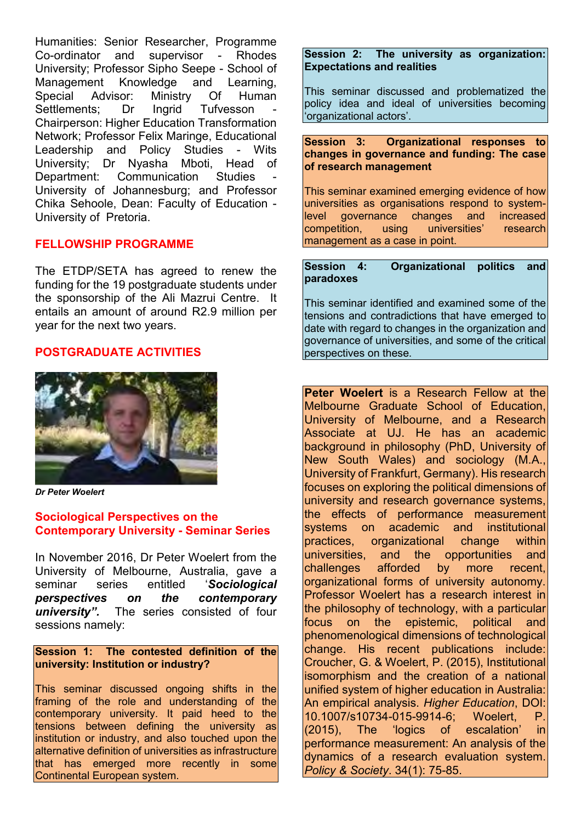Humanities: Senior Researcher, Programme Co-ordinator and supervisor - Rhodes University; Professor Sipho Seepe - School of Management Knowledge and Learning,<br>Special Advisor: Ministry Of Human Advisor: Settlements: Dr Ingrid Tufvesson Chairperson: Higher Education Transformation Network; Professor Felix Maringe, Educational Leadership and Policy Studies - Wits University; Dr Nyasha Mboti, Head of<br>Department: Communication Studies -Communication University of Johannesburg; and Professor Chika Sehoole, Dean: Faculty of Education - University of Pretoria.

#### **FELLOWSHIP PROGRAMME**

The ETDP/SETA has agreed to renew the funding for the 19 postgraduate students under the sponsorship of the Ali Mazrui Centre. It entails an amount of around R2.9 million per year for the next two years.

#### **POSTGRADUATE ACTIVITIES**



*Dr Peter Woelert*

# **Sociological Perspectives on the Contemporary University - Seminar Series**

In November 2016, Dr Peter Woelert from the University of Melbourne, Australia, gave a seminar series entitled '*Sociological perspectives on the contemporary*  The series consisted of four sessions namely:

#### **Session 1: The contested definition of the university: Institution or industry?**

This seminar discussed ongoing shifts in the framing of the role and understanding of the contemporary university. It paid heed to the tensions between defining the university as institution or industry, and also touched upon the alternative definition of universities as infrastructure that has emerged more recently in some Continental European system.

**Session 2: The university as organization: Expectations and realities**

This seminar discussed and problematized the policy idea and ideal of universities becoming 'organizational actors'.

**Session 3: Organizational responses to changes in governance and funding: The case of research management**

This seminar examined emerging evidence of how universities as organisations respond to systemlevel governance changes and increased competition, using universities' research management as a case in point.

#### **Session 4: Organizational politics and paradoxes**

This seminar identified and examined some of the tensions and contradictions that have emerged to date with regard to changes in the organization and governance of universities, and some of the critical perspectives on these.

**Peter Woelert** is a Research Fellow at the Melbourne Graduate School of Education, University of Melbourne, and a Research Associate at UJ. He has an academic background in philosophy (PhD, University of New South Wales) and sociology (M.A., University of Frankfurt, Germany). His research focuses on exploring the political dimensions of university and research governance systems, the effects of performance measurement systems on academic and institutional practices, organizational change within<br>universities, and the opportunities and and the opportunities and challenges afforded by more recent, organizational forms of university autonomy. Professor Woelert has a research interest in the philosophy of technology, with a particular focus on the epistemic, political and phenomenological dimensions of technological change. His recent publications include: Croucher, G. & Woelert, P. (2015), Institutional isomorphism and the creation of a national unified system of higher education in Australia: An empirical analysis. *Higher Education*, DOI: 10.1007/s10734-015-9914-6; Woelert, P. (2015), The 'logics of escalation' in performance measurement: An analysis of the dynamics of a research evaluation system. *Policy & Society*. 34(1): 75-85.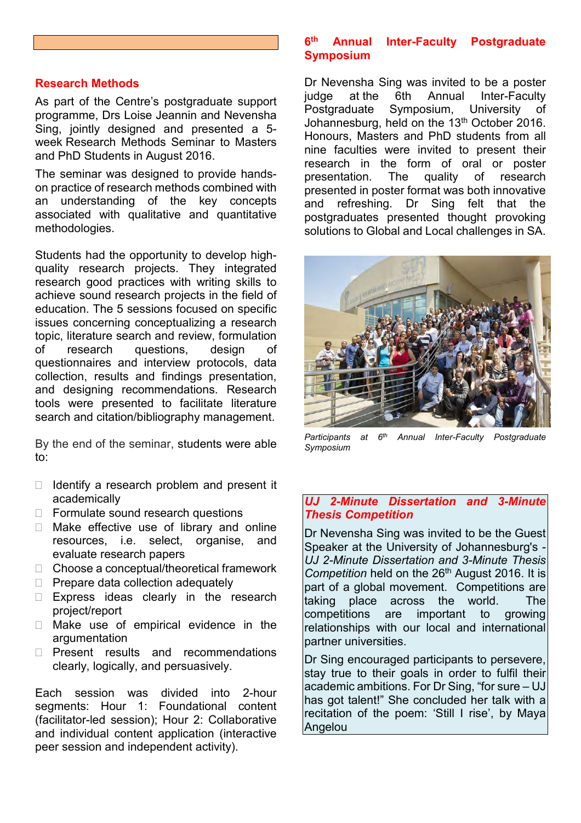#### **Research Methods**

As part of the Centre's postgraduate support programme, Drs Loise Jeannin and Nevensha Sing, jointly designed and presented a 5 week Research Methods Seminar to Masters and PhD Students in August 2016.

The seminar was designed to provide handson practice of research methods combined with an understanding of the key concepts associated with qualitative and quantitative methodologies.

Students had the opportunity to develop highquality research projects. They integrated research good practices with writing skills to achieve sound research projects in the field of education. The 5 sessions focused on specific issues concerning conceptualizing a research topic, literature search and review, formulation of research questions, design of questionnaires and interview protocols, data collection, results and findings presentation, and designing recommendations. Research tools were presented to facilitate literature search and citation/bibliography management.

By the end of the seminar, students were able to:

- $\Box$  Identify a research problem and present it academically
- $\Box$  Formulate sound research questions
- $\Box$  Make effective use of library and online resources, i.e. select, organise, and evaluate research papers
- $\Box$  Choose a conceptual/theoretical framework
- $\Box$  Prepare data collection adequately
- $\Box$  Express ideas clearly in the research project/report
- $\Box$  Make use of empirical evidence in the argumentation
- $\Box$  Present results and recommendations clearly, logically, and persuasively.

Each session was divided into 2-hour segments: Hour 1: Foundational content (facilitator-led session); Hour 2: Collaborative and individual content application (interactive peer session and independent activity).

#### **6 th Annual Inter-Faculty Postgraduate Symposium**

Dr Nevensha Sing was invited to be a poster<br>judge at the 6th Annual Inter-Faculty Inter-Faculty Postgraduate Symposium, University of Johannesburg, held on the 13<sup>th</sup> October 2016. Honours, Masters and PhD students from all nine faculties were invited to present their research in the form of oral or poster<br>presentation. The quality of research presentation. The quality of presented in poster format was both innovative and refreshing. Dr Sing felt that the postgraduates presented thought provoking solutions to Global and Local challenges in SA.



*Participants at 6th Annual Inter-Faculty Postgraduate Symposium*

#### *UJ 2-Minute Dissertation and 3-Minute Thesis Competition*

Dr Nevensha Sing was invited to be the Guest Speaker at the University of Johannesburg's - *UJ 2-Minute Dissertation and 3-Minute Thesis Competition* held on the 26th August 2016. It is part of a global movement. Competitions are taking place across the world. The competitions are important to growing relationships with our local and international partner universities.

Dr Sing encouraged participants to persevere, stay true to their goals in order to fulfil their academic ambitions. For Dr Sing, "for sure – UJ has got talent!" She concluded her talk with a recitation of the poem: 'Still I rise', by Maya Angelou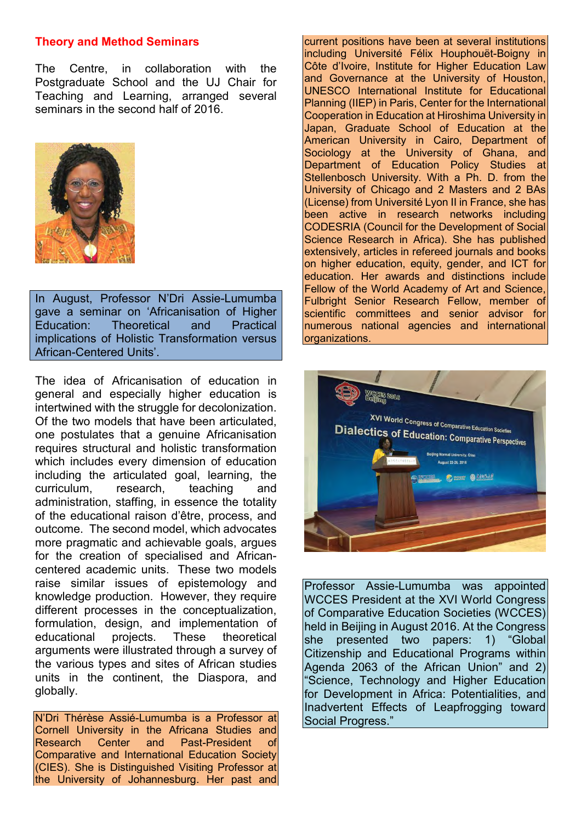#### **Theory and Method Seminars**

The Centre, in collaboration with the Postgraduate School and the UJ Chair for Teaching and Learning, arranged several seminars in the second half of 2016.



In August, Professor N'Dri Assie-Lumumba gave a seminar on 'Africanisation of Higher Education: Theoretical and Practical implications of Holistic Transformation versus African-Centered Units'.

The idea of Africanisation of education in general and especially higher education is intertwined with the struggle for decolonization. Of the two models that have been articulated, one postulates that a genuine Africanisation requires structural and holistic transformation which includes every dimension of education including the articulated goal, learning, the curriculum, research, teaching and administration, staffing, in essence the totality of the educational raison d'être, process, and outcome. The second model, which advocates more pragmatic and achievable goals, argues for the creation of specialised and Africancentered academic units. These two models raise similar issues of epistemology and knowledge production. However, they require different processes in the conceptualization, formulation, design, and implementation of educational projects. These theoretical arguments were illustrated through a survey of the various types and sites of African studies units in the continent, the Diaspora, and globally.

N'Dri Thérèse Assié-Lumumba is a Professor at Cornell University in the Africana Studies and<br>Research Center and Past-President of Past-President of Comparative and International Education Society (CIES). She is Distinguished Visiting Professor at the University of Johannesburg. Her past and

current positions have been at several institutions including Université Félix Houphouët-Boigny in Côte d'Ivoire, Institute for Higher Education Law and Governance at the University of Houston, UNESCO International Institute for Educational Planning (IIEP) in Paris, Center for the International Cooperation in Education at Hiroshima University in Japan, Graduate School of Education at the American University in Cairo, Department of Sociology at the University of Ghana, and Department of Education Policy Studies at Stellenbosch University. With a Ph. D. from the University of Chicago and 2 Masters and 2 BAs (License) from Université Lyon II in France, she has been active in research networks including CODESRIA (Council for the Development of Social Science Research in Africa). She has published extensively, articles in refereed journals and books on higher education, equity, gender, and ICT for education. Her awards and distinctions include Fellow of the World Academy of Art and Science, Fulbright Senior Research Fellow, member of scientific committees and senior advisor for numerous national agencies and international organizations.



Professor Assie-Lumumba was appointed WCCES President at the XVI World Congress of Comparative Education Societies (WCCES) held in Beijing in August 2016. At the Congress she presented two papers: 1) "Global Citizenship and Educational Programs within Agenda 2063 of the African Union" and 2) "Science, Technology and Higher Education for Development in Africa: Potentialities, and Inadvertent Effects of Leapfrogging toward Social Progress."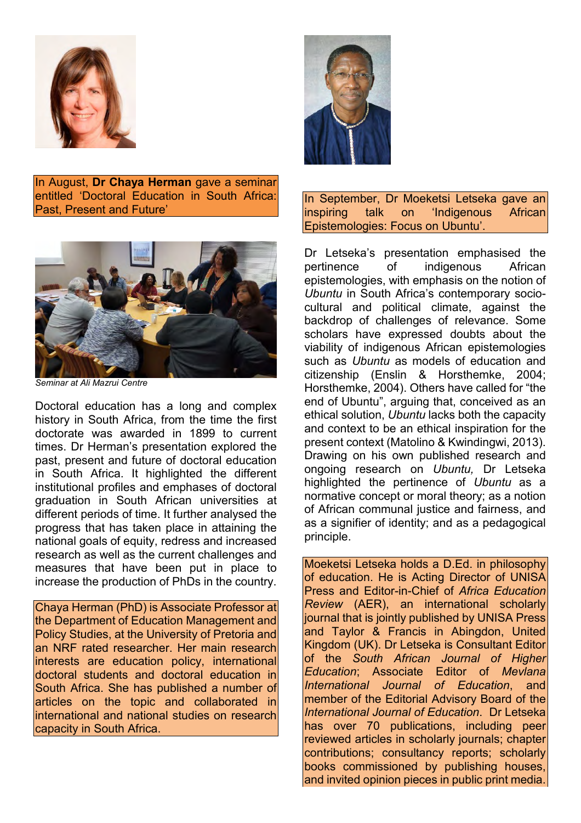

In August, **Dr Chaya Herman** gave a seminar entitled 'Doctoral Education in South Africa: Past, Present and Future'



*Seminar at Ali Mazrui Centre*

Doctoral education has a long and complex history in South Africa, from the time the first doctorate was awarded in 1899 to current times. Dr Herman's presentation explored the past, present and future of doctoral education in South Africa. It highlighted the different institutional profiles and emphases of doctoral graduation in South African universities at different periods of time. It further analysed the progress that has taken place in attaining the national goals of equity, redress and increased research as well as the current challenges and measures that have been put in place to increase the production of PhDs in the country.

Chaya Herman (PhD) is Associate Professor at the Department of Education Management and Policy Studies, at the University of Pretoria and an NRF rated researcher. Her main research interests are education policy, international doctoral students and doctoral education in South Africa. She has published a number of articles on the topic and collaborated in international and national studies on research capacity in South Africa.



In September, Dr Moeketsi Letseka gave an inspiring talk on 'Indigenous African Epistemologies: Focus on Ubuntu'.

Dr Letseka's presentation emphasised the pertinence of indigenous African epistemologies, with emphasis on the notion of *Ubuntu* in South Africa's contemporary sociocultural and political climate, against the backdrop of challenges of relevance. Some scholars have expressed doubts about the viability of indigenous African epistemologies such as *Ubuntu* as models of education and citizenship (Enslin & Horsthemke, 2004; Horsthemke, 2004). Others have called for "the end of Ubuntu", arguing that, conceived as an ethical solution, *Ubuntu* lacks both the capacity and context to be an ethical inspiration for the present context (Matolino & Kwindingwi, 2013). Drawing on his own published research and ongoing research on *Ubuntu,* Dr Letseka highlighted the pertinence of *Ubuntu* as a normative concept or moral theory; as a notion of African communal justice and fairness, and as a signifier of identity; and as a pedagogical principle.

Moeketsi Letseka holds a D.Ed. in philosophy of education. He is Acting Director of UNISA Press and Editor-in-Chief of *Africa Education Review* (AER), an international scholarly journal that is jointly published by UNISA Press and Taylor & Francis in Abingdon, United Kingdom (UK). Dr Letseka is Consultant Editor of the *South African Journal of Higher Education*; Associate Editor of *Mevlana International Journal of Education*, and member of the Editorial Advisory Board of the *International Journal of Education*. Dr Letseka has over 70 publications, including peer reviewed articles in scholarly journals; chapter contributions; consultancy reports; scholarly books commissioned by publishing houses, and invited opinion pieces in public print media.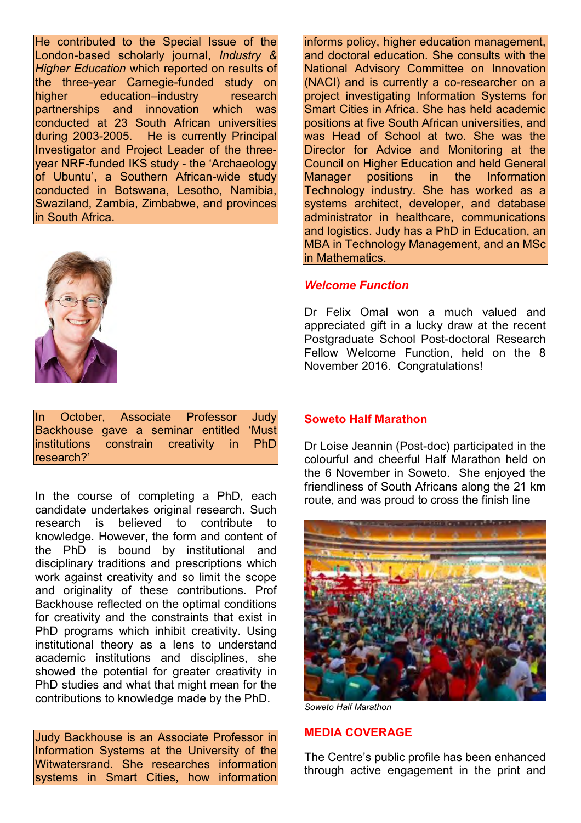He contributed to the Special Issue of the London-based scholarly journal, *Industry & Higher Education* which reported on results of the three-year Carnegie-funded study on<br>higher education–industry research education–industry partnerships and innovation which was conducted at 23 South African universities during 2003-2005. He is currently Principal Investigator and Project Leader of the threeyear NRF-funded IKS study - the 'Archaeology of Ubuntu', a Southern African-wide study conducted in Botswana, Lesotho, Namibia, Swaziland, Zambia, Zimbabwe, and provinces in South Africa.



In October, Associate Professor Judy Backhouse gave a seminar entitled 'Must<br>institutions constrain creativity in PhD institutions constrain creativity in research?'

In the course of completing a PhD, each candidate undertakes original research. Such research is believed to contribute to knowledge. However, the form and content of the PhD is bound by institutional and disciplinary traditions and prescriptions which work against creativity and so limit the scope and originality of these contributions. Prof Backhouse reflected on the optimal conditions for creativity and the constraints that exist in PhD programs which inhibit creativity. Using institutional theory as a lens to understand academic institutions and disciplines, she showed the potential for greater creativity in PhD studies and what that might mean for the contributions to knowledge made by the PhD.

Judy Backhouse is an Associate Professor in Information Systems at the University of the Witwatersrand. She researches information systems in Smart Cities, how information

informs policy, higher education management, and doctoral education. She consults with the National Advisory Committee on Innovation (NACI) and is currently a co-researcher on a project investigating Information Systems for Smart Cities in Africa. She has held academic positions at five South African universities, and was Head of School at two. She was the Director for Advice and Monitoring at the Council on Higher Education and held General<br>Manager positions in the Information **Information** Technology industry. She has worked as a systems architect, developer, and database administrator in healthcare, communications and logistics. Judy has a PhD in Education, an MBA in Technology Management, and an MSc in Mathematics.

# *Welcome Function*

Dr Felix Omal won a much valued and appreciated gift in a lucky draw at the recent Postgraduate School Post-doctoral Research Fellow Welcome Function, held on the 8 November 2016. Congratulations!

#### **Soweto Half Marathon**

Dr Loise Jeannin (Post-doc) participated in the colourful and cheerful Half Marathon held on the 6 November in Soweto. She enjoyed the friendliness of South Africans along the 21 km route, and was proud to cross the finish line



*Soweto Half Marathon* 

#### **MEDIA COVERAGE**

The Centre's public profile has been enhanced through active engagement in the print and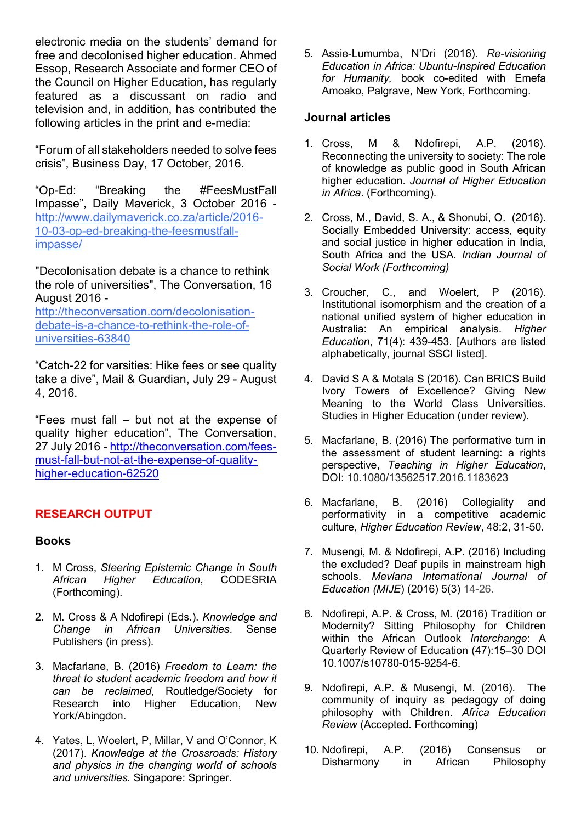electronic media on the students' demand for free and decolonised higher education. Ahmed Essop, Research Associate and former CEO of the Council on Higher Education, has regularly featured as a discussant on radio and television and, in addition, has contributed the following articles in the print and e-media:

"Forum of all stakeholders needed to solve fees crisis", Business Day, 17 October, 2016.

"Op-Ed: "Breaking the #FeesMustFall Impasse", Daily Maverick, 3 October 2016 http://www.dailymaverick.co.za/article/2016- 10-03-op-ed-breaking-the-feesmustfallimpasse/

"Decolonisation debate is a chance to rethink the role of universities", The Conversation, 16 August 2016 -

[http://theconversation.com/decolonisation](http://theconversation.com/decolonisation-debate-is-a-chance-to-rethink-the-role-of-universities-63840)[debate-is-a-chance-to-rethink-the-role-of](http://theconversation.com/decolonisation-debate-is-a-chance-to-rethink-the-role-of-universities-63840)[universities-63840](http://theconversation.com/decolonisation-debate-is-a-chance-to-rethink-the-role-of-universities-63840) 

"Catch-22 for varsities: Hike fees or see quality take a dive", Mail & Guardian, July 29 - August 4, 2016.

"Fees must fall – but not at the expense of quality higher education", The Conversation, 27 July 2016 - [http://theconversation.com/fees](https://theconversation.com/fees-must-fall-but-not-at-the-expense-of-quality-higher-education-62520)[must-fall-but-not-at-the-expense-of-quality](https://theconversation.com/fees-must-fall-but-not-at-the-expense-of-quality-higher-education-62520)[higher-education-62520](https://theconversation.com/fees-must-fall-but-not-at-the-expense-of-quality-higher-education-62520)

# **RESEARCH OUTPUT**

# **Books**

- 1. M Cross, *Steering Epistemic Change in South African Higher Education*, CODESRIA (Forthcoming).
- 2. M. Cross & A Ndofirepi (Eds.). *Knowledge and Change in African Universities*. Sense Publishers (in press).
- 3. Macfarlane, B. (2016) *Freedom to Learn: the threat to student academic freedom and how it can be reclaimed*, Routledge/Society for Research into Higher Education, New York/Abingdon.
- 4. Yates, L, Woelert, P, Millar, V and O'Connor, K (2017). *Knowledge at the Crossroads: History and physics in the changing world of schools and universities*. Singapore: Springer.

5. Assie-Lumumba, N'Dri (2016). *Re-visioning Education in Africa: Ubuntu-Inspired Education for Humanity,* book co-edited with Emefa Amoako, Palgrave, New York, Forthcoming.

# **Journal articles**

- 1. Cross, M & Ndofirepi, A.P. (2016). Reconnecting the university to society: The role of knowledge as public good in South African higher education. *Journal of Higher Education in Africa*. (Forthcoming).
- 2. Cross, M., David, S. A., & Shonubi, O. (2016). Socially Embedded University: access, equity and social justice in higher education in India, South Africa and the USA. *Indian Journal of Social Work (Forthcoming)*
- 3. Croucher, C., and Woelert, P (2016). Institutional isomorphism and the creation of a national unified system of higher education in Australia: An empirical analysis. *Higher Education*, 71(4): 439-453. [Authors are listed alphabetically, journal SSCI listed].
- 4. David S A & Motala S (2016). Can BRICS Build Ivory Towers of Excellence? Giving New Meaning to the World Class Universities. Studies in Higher Education (under review).
- 5. Macfarlane, B. (2016) The performative turn in the assessment of student learning: a rights perspective, *Teaching in Higher Education*, DOI: 10.1080/13562517.2016.1183623
- 6. Macfarlane, B. (2016) Collegiality and performativity in a competitive academic culture, *Higher Education Review*, 48:2, 31-50.
- 7. Musengi, M. & Ndofirepi, A.P. (2016) Including the excluded? Deaf pupils in mainstream high schools. *Mevlana International Journal of Education (MIJE*) (2016) 5(3) 14-26.
- 8. Ndofirepi, A.P. & Cross, M. (2016) Tradition or Modernity? Sitting Philosophy for Children within the African Outlook *Interchange*: A Quarterly Review of Education (47):15–30 DOI 10.1007/s10780-015-9254-6.
- 9. Ndofirepi, A.P. & Musengi, M. (2016). The community of inquiry as pedagogy of doing philosophy with Children. *Africa Education Review* (Accepted. Forthcoming)
- 10. Ndofirepi, A.P. (2016) Consensus or Disharmony in African Philosophy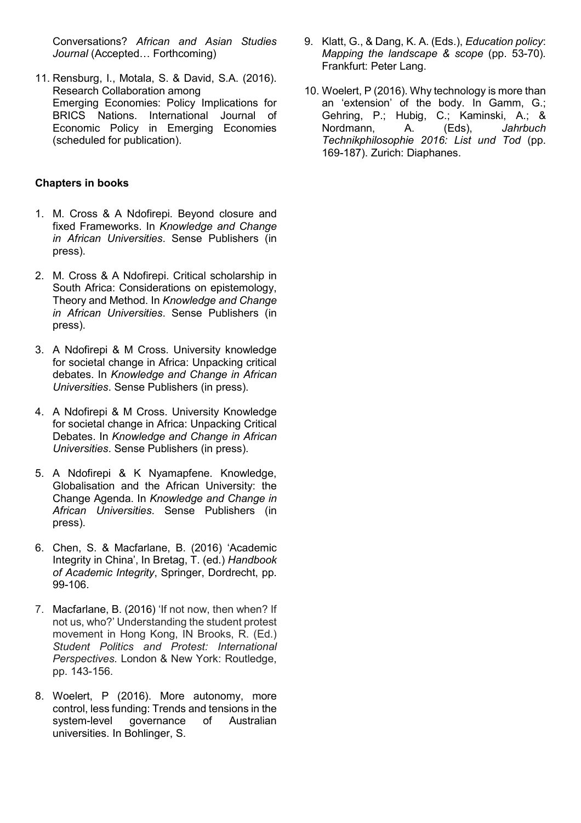Conversations? *African and Asian Studies Journal* (Accepted… Forthcoming)

11. Rensburg, I., Motala, S. & David, S.A. (2016). Research Collaboration among Emerging Economies: Policy Implications for BRICS Nations. International Journal of Economic Policy in Emerging Economies (scheduled for publication).

#### **Chapters in books**

- 1. M. Cross & A Ndofirepi. Beyond closure and fixed Frameworks. In *Knowledge and Change in African Universities*. Sense Publishers (in press).
- 2. M. Cross & A Ndofirepi. Critical scholarship in South Africa: Considerations on epistemology, Theory and Method. In *Knowledge and Change in African Universities*. Sense Publishers (in press).
- 3. A Ndofirepi & M Cross. University knowledge for societal change in Africa: Unpacking critical debates. In *Knowledge and Change in African Universities*. Sense Publishers (in press).
- 4. A Ndofirepi & M Cross. University Knowledge for societal change in Africa: Unpacking Critical Debates. In *Knowledge and Change in African Universities*. Sense Publishers (in press).
- 5. A Ndofirepi & K Nyamapfene. Knowledge, Globalisation and the African University: the Change Agenda. In *Knowledge and Change in African Universities*. Sense Publishers (in press).
- 6. Chen, S. & Macfarlane, B. (2016) 'Academic Integrity in China', In Bretag, T. (ed.) *Handbook of Academic Integrity*, Springer, Dordrecht, pp. 99-106.
- 7. Macfarlane, B. (2016) 'If not now, then when? If not us, who?' Understanding the student protest movement in Hong Kong, IN Brooks, R. (Ed.) *Student Politics and Protest: International Perspectives*. London & New York: Routledge, pp. 143-156.
- 8. Woelert, P (2016). More autonomy, more control, less funding: Trends and tensions in the system-level governance of Australian universities. In Bohlinger, S.
- 9. Klatt, G., & Dang, K. A. (Eds.), *Education policy*: *Mapping the landscape & scope* (pp. 53-70)*.*  Frankfurt: Peter Lang.
- 10. Woelert, P (2016). Why technology is more than an 'extension' of the body. In Gamm, G.; Gehring, P.; Hubig, C.; Kaminski, A.; & Nordmann, A. (Eds), *Jahrbuch Technikphilosophie 2016: List und Tod* (pp. 169-187). Zurich: Diaphanes.